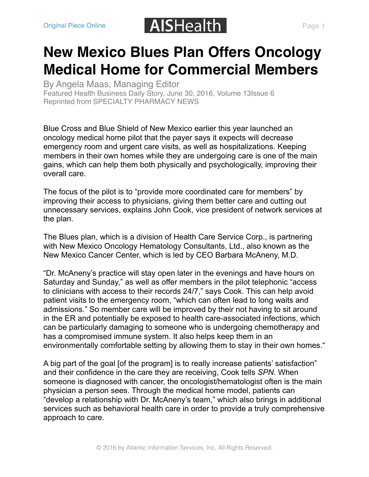## [Original Piece Online](https://aishealth.com/archive/nspn0616-02) **AISHealth** Page 1

## **[New Mexico Blues Plan Offers Oncology](https://aishealth.com/archive/nspn0616-02) Medical Home for Commercial Members**

By [Angela Maas](https://aishealth.com/profile/amaas), Managing Editor Featured [Health Business Daily](https://aishealth.com/enews/businessnews) Story, June 30, 2016, Volume 13Issue 6 Reprinted from [SPECIALTY PHARMACY NEWS](https://aishealth.com/marketplace/specialty-pharmacy-news)

Blue Cross and Blue Shield of New Mexico earlier this year launched an oncology medical home pilot that the payer says it expects will decrease emergency room and urgent care visits, as well as hospitalizations. Keeping members in their own homes while they are undergoing care is one of the main gains, which can help them both physically and psychologically, improving their overall care.

The focus of the pilot is to "provide more coordinated care for members" by improving their access to physicians, giving them better care and cutting out unnecessary services, explains John Cook, vice president of network services at the plan.

The Blues plan, which is a division of Health Care Service Corp., is partnering with New Mexico Oncology Hematology Consultants, Ltd., also known as the New Mexico Cancer Center, which is led by CEO Barbara McAneny, M.D.

"Dr. McAneny's practice will stay open later in the evenings and have hours on Saturday and Sunday," as well as offer members in the pilot telephonic "access to clinicians with access to their records 24/7," says Cook. This can help avoid patient visits to the emergency room, "which can often lead to long waits and admissions." So member care will be improved by their not having to sit around in the ER and potentially be exposed to health care-associated infections, which can be particularly damaging to someone who is undergoing chemotherapy and has a compromised immune system. It also helps keep them in an environmentally comfortable setting by allowing them to stay in their own homes."

A big part of the goal [of the program] is to really increase patients' satisfaction" and their confidence in the care they are receiving, Cook tells *SPN*. When someone is diagnosed with cancer, the oncologist/hematologist often is the main physician a person sees. Through the medical home model, patients can "develop a relationship with Dr. McAneny's team," which also brings in additional services such as behavioral health care in order to provide a truly comprehensive approach to care.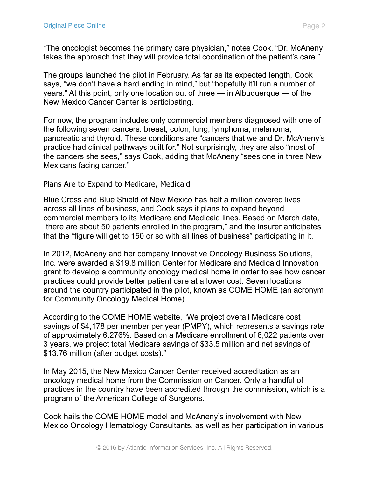"The oncologist becomes the primary care physician," notes Cook. "Dr. McAneny takes the approach that they will provide total coordination of the patient's care."

The groups launched the pilot in February. As far as its expected length, Cook says, "we don't have a hard ending in mind," but "hopefully it'll run a number of years." At this point, only one location out of three — in Albuquerque — of the New Mexico Cancer Center is participating.

For now, the program includes only commercial members diagnosed with one of the following seven cancers: breast, colon, lung, lymphoma, melanoma, pancreatic and thyroid. These conditions are "cancers that we and Dr. McAneny's practice had clinical pathways built for." Not surprisingly, they are also "most of the cancers she sees," says Cook, adding that McAneny "sees one in three New Mexicans facing cancer."

## Plans Are to Expand to Medicare, Medicaid

Blue Cross and Blue Shield of New Mexico has half a million covered lives across all lines of business, and Cook says it plans to expand beyond commercial members to its Medicare and Medicaid lines. Based on March data, "there are about 50 patients enrolled in the program," and the insurer anticipates that the "figure will get to 150 or so with all lines of business" participating in it.

In 2012, McAneny and her company Innovative Oncology Business Solutions, Inc. were awarded a \$19.8 million Center for Medicare and Medicaid Innovation grant to develop a community oncology medical home in order to see how cancer practices could provide better patient care at a lower cost. Seven locations around the country participated in the pilot, known as COME HOME (an acronym for Community Oncology Medical Home).

According to the COME HOME website, "We project overall Medicare cost savings of \$4,178 per member per year (PMPY), which represents a savings rate of approximately 6.276%. Based on a Medicare enrollment of 8,022 patients over 3 years, we project total Medicare savings of \$33.5 million and net savings of \$13.76 million (after budget costs)."

In May 2015, the New Mexico Cancer Center received accreditation as an oncology medical home from the Commission on Cancer. Only a handful of practices in the country have been accredited through the commission, which is a program of the American College of Surgeons.

Cook hails the COME HOME model and McAneny's involvement with New Mexico Oncology Hematology Consultants, as well as her participation in various